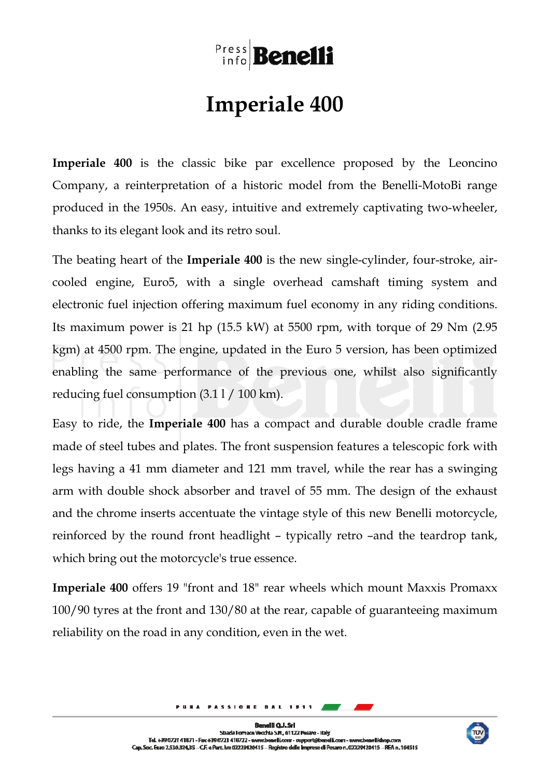## Press Benelli

## **Imperiale 400**

**Imperiale 400** is the classic bike par excellence proposed by the Leoncino Company, a reinterpretation of a historic model from the Benelli-MotoBi range produced in the 1950s. An easy, intuitive and extremely captivating two-wheeler, thanks to its elegant look and its retro soul.

The beating heart of the **Imperiale 400** is the new single-cylinder, four-stroke, aircooled engine, Euro5, with a single overhead camshaft timing system and electronic fuel injection offering maximum fuel economy in any riding conditions. Its maximum power is 21 hp (15.5 kW) at 5500 rpm, with torque of 29 Nm (2.95 kgm) at 4500 rpm. The engine, updated in the Euro 5 version, has been optimized enabling the same performance of the previous one, whilst also significantly reducing fuel consumption (3.1 l / 100 km).

Easy to ride, the **Imperiale 400** has a compact and durable double cradle frame made of steel tubes and plates. The front suspension features a telescopic fork with legs having a 41 mm diameter and 121 mm travel, while the rear has a swinging arm with double shock absorber and travel of 55 mm. The design of the exhaust and the chrome inserts accentuate the vintage style of this new Benelli motorcycle, reinforced by the round front headlight – typically retro –and the teardrop tank, which bring out the motorcycle's true essence.

**Imperiale 400** offers 19 "front and 18" rear wheels which mount Maxxis Promaxx 100/90 tyres at the front and 130/80 at the rear, capable of guaranteeing maximum reliability on the road in any condition, even in the wet.